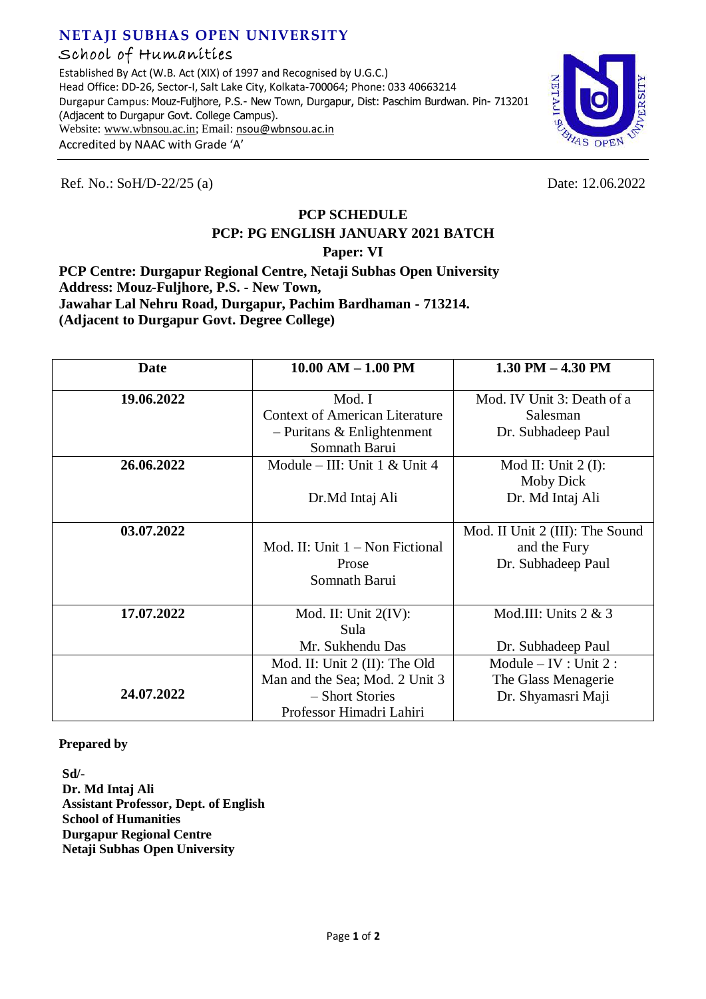## **NETAJI SUBHAS OPEN UNIVERSITY** School of Humanities

Established By Act (W.B. Act (XIX) of 1997 and Recognised by U.G.C.) Head Office: DD-26, Sector-I, Salt Lake City, Kolkata-700064; Phone: 033 40663214 Durgapur Campus: Mouz-Fuljhore, P.S.- New Town, Durgapur, Dist: Paschim Burdwan. Pin- 713201 (Adjacent to Durgapur Govt. College Campus). Website[: www.wbnsou.ac.in;](http://www.wbnsou.ac.in/) Email: [nsou@wbnsou.ac.in](mailto:nsou@wbnsou.ac.in) Accredited by NAAC with Grade 'A'



Ref. No.: SoH/D-22/25 (a) Date: 12.06.2022

## **PCP SCHEDULE**

## **PCP: PG ENGLISH JANUARY 2021 BATCH**

**Paper: VI**

**PCP Centre: Durgapur Regional Centre, Netaji Subhas Open University Address: Mouz-Fuljhore, P.S. - New Town, Jawahar Lal Nehru Road, Durgapur, Pachim Bardhaman - 713214. (Adjacent to Durgapur Govt. Degree College)**

| Date       | $10.00$ AM $-1.00$ PM                 | $1.30$ PM $- 4.30$ PM           |
|------------|---------------------------------------|---------------------------------|
| 19.06.2022 | Mod. I                                | Mod. IV Unit 3: Death of a      |
|            | <b>Context of American Literature</b> | Salesman                        |
|            | $-$ Puritans & Enlightenment          | Dr. Subhadeep Paul              |
|            | Somnath Barui                         |                                 |
| 26.06.2022 | Module – III: Unit $1 <$ Unit $4$     | Mod II: Unit $2(I)$ :           |
|            |                                       | <b>Moby Dick</b>                |
|            | Dr.Md Intaj Ali                       | Dr. Md Intaj Ali                |
|            |                                       |                                 |
| 03.07.2022 |                                       | Mod. II Unit 2 (III): The Sound |
|            | Mod. II: Unit $1 -$ Non Fictional     | and the Fury                    |
|            | Prose                                 | Dr. Subhadeep Paul              |
|            | Somnath Barui                         |                                 |
|            |                                       |                                 |
| 17.07.2022 | Mod. II: Unit $2(IV)$ :               | Mod.III: Units 2 & 3            |
|            | Sula                                  |                                 |
|            | Mr. Sukhendu Das                      | Dr. Subhadeep Paul              |
|            | Mod. II: Unit 2 (II): The Old         | Module $- IV : Unit 2 :$        |
|            | Man and the Sea; Mod. 2 Unit 3        | The Glass Menagerie             |
| 24.07.2022 | - Short Stories                       | Dr. Shyamasri Maji              |
|            | Professor Himadri Lahiri              |                                 |

**Prepared by**

**Sd/- Dr. Md Intaj Ali Assistant Professor, Dept. of English School of Humanities Durgapur Regional Centre Netaji Subhas Open University**